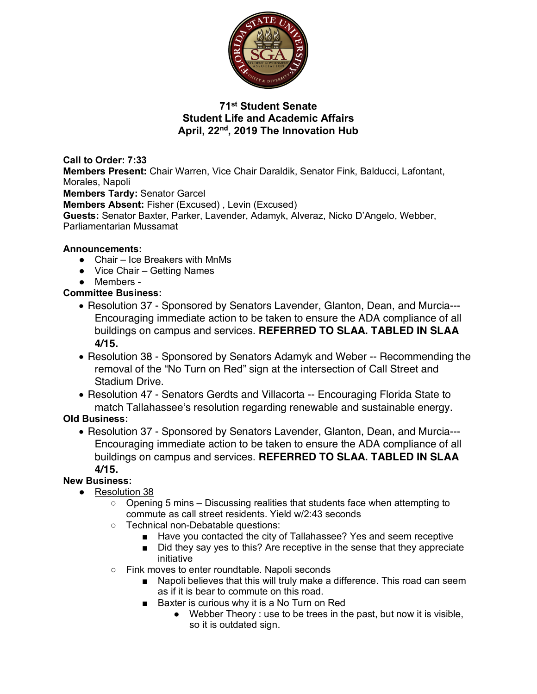

## **71st Student Senate Student Life and Academic Affairs April, 22nd, 2019 The Innovation Hub**

**Call to Order: 7:33 Members Present:** Chair Warren, Vice Chair Daraldik, Senator Fink, Balducci, Lafontant, Morales, Napoli **Members Tardy:** Senator Garcel **Members Absent:** Fisher (Excused) , Levin (Excused) **Guests:** Senator Baxter, Parker, Lavender, Adamyk, Alveraz, Nicko D'Angelo, Webber, Parliamentarian Mussamat

### **Announcements:**

- Chair Ice Breakers with MnMs
- Vice Chair Getting Names
- Members -

**Committee Business:** 

- Resolution 37 Sponsored by Senators Lavender, Glanton, Dean, and Murcia--- Encouraging immediate action to be taken to ensure the ADA compliance of all buildings on campus and services. **REFERRED TO SLAA. TABLED IN SLAA 4/15.**
- Resolution 38 Sponsored by Senators Adamyk and Weber -- Recommending the removal of the "No Turn on Red" sign at the intersection of Call Street and Stadium Drive.
- Resolution 47 Senators Gerdts and Villacorta -- Encouraging Florida State to match Tallahassee's resolution regarding renewable and sustainable energy.

**Old Business:** 

• Resolution 37 - Sponsored by Senators Lavender, Glanton, Dean, and Murcia--- Encouraging immediate action to be taken to ensure the ADA compliance of all buildings on campus and services. **REFERRED TO SLAA. TABLED IN SLAA 4/15.**

# **New Business:**

- Resolution 38
	- Opening 5 mins Discussing realities that students face when attempting to commute as call street residents. Yield w/2:43 seconds
	- Technical non-Debatable questions:
		- Have you contacted the city of Tallahassee? Yes and seem receptive
		- Did they say yes to this? Are receptive in the sense that they appreciate initiative
	- Fink moves to enter roundtable. Napoli seconds
		- Napoli believes that this will truly make a difference. This road can seem as if it is bear to commute on this road.
		- Baxter is curious why it is a No Turn on Red
			- Webber Theory : use to be trees in the past, but now it is visible, so it is outdated sign.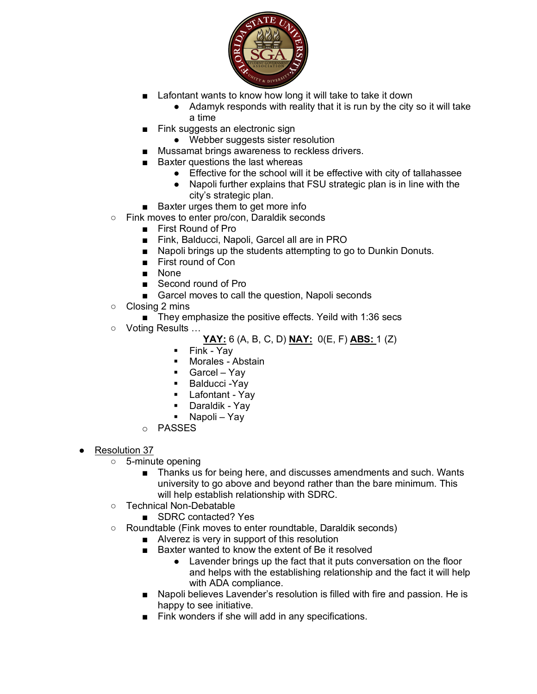

- Lafontant wants to know how long it will take to take it down
	- Adamyk responds with reality that it is run by the city so it will take a time
- Fink suggests an electronic sign
	- Webber suggests sister resolution
- Mussamat brings awareness to reckless drivers.
- Baxter questions the last whereas
	- Effective for the school will it be effective with city of tallahassee
	- Napoli further explains that FSU strategic plan is in line with the city's strategic plan.
- Baxter urges them to get more info
- Fink moves to enter pro/con, Daraldik seconds
	- First Round of Pro
	- Fink, Balducci, Napoli, Garcel all are in PRO
	- Napoli brings up the students attempting to go to Dunkin Donuts.
	- First round of Con
	- None
	- Second round of Pro
	- Garcel moves to call the question, Napoli seconds
- Closing 2 mins

■ They emphasize the positive effects. Yeild with 1:36 secs

○ Voting Results …

**YAY:** 6 (A, B, C, D) **NAY:** 0(E, F) **ABS:** 1 (Z)

- Fink Yay
- **•** Morales Abstain
- § Garcel Yay
- Balducci Yay
- Lafontant Yay
- § Daraldik Yay
- Napoli Yay
- o PASSES
- Resolution 37
	- 5-minute opening
		- Thanks us for being here, and discusses amendments and such. Wants university to go above and beyond rather than the bare minimum. This will help establish relationship with SDRC.
	- Technical Non-Debatable
		- SDRC contacted? Yes
	- Roundtable (Fink moves to enter roundtable, Daraldik seconds)
		- Alverez is very in support of this resolution
		- Baxter wanted to know the extent of Be it resolved
			- Lavender brings up the fact that it puts conversation on the floor and helps with the establishing relationship and the fact it will help with ADA compliance.
		- Napoli believes Lavender's resolution is filled with fire and passion. He is happy to see initiative.
		- Fink wonders if she will add in any specifications.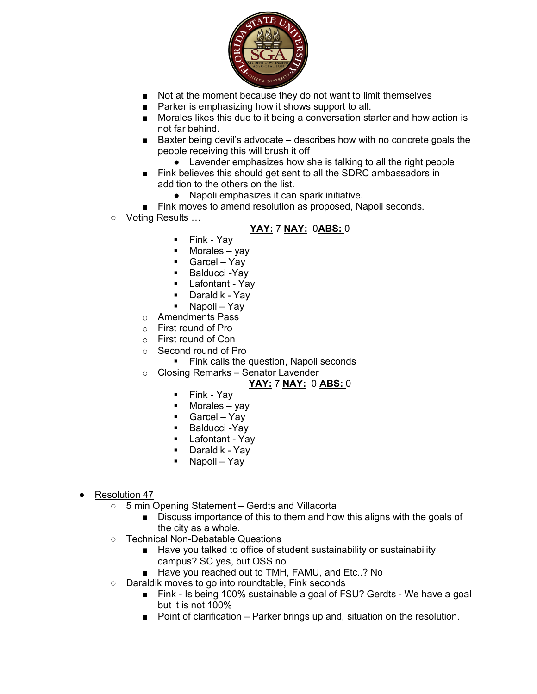

- Not at the moment because they do not want to limit themselves
- Parker is emphasizing how it shows support to all.
- Morales likes this due to it being a conversation starter and how action is not far behind.
- Baxter being devil's advocate describes how with no concrete goals the people receiving this will brush it off
	- Lavender emphasizes how she is talking to all the right people
- Fink believes this should get sent to all the SDRC ambassadors in addition to the others on the list.
	- Napoli emphasizes it can spark initiative.
- Fink moves to amend resolution as proposed, Napoli seconds.
- Voting Results …

## **YAY:** 7 **NAY:** 0**ABS:** 0

- Fink Yay
- $\blacksquare$  Morales yay
- § Garcel Yay
- Balducci Yay
- Lafontant Yay
- § Daraldik Yay
- Napoli Yay
- o Amendments Pass
- o First round of Pro
- o First round of Con
- o Second round of Pro
	- Fink calls the question, Napoli seconds
- o Closing Remarks Senator Lavender

#### **YAY:** 7 **NAY:** 0 **ABS:** 0

- § Fink Yay
- $\blacksquare$  Morales yay
- Garcel Yay
- § Balducci -Yay
- Lafontant Yay
- § Daraldik Yay
- § Napoli Yay
- Resolution 47
	- 5 min Opening Statement Gerdts and Villacorta
		- Discuss importance of this to them and how this aligns with the goals of the city as a whole.
	- Technical Non-Debatable Questions
		- Have you talked to office of student sustainability or sustainability campus? SC yes, but OSS no
		- Have you reached out to TMH, FAMU, and Etc..? No
	- Daraldik moves to go into roundtable, Fink seconds
		- Fink Is being 100% sustainable a goal of FSU? Gerdts We have a goal but it is not 100%
		- Point of clarification Parker brings up and, situation on the resolution.